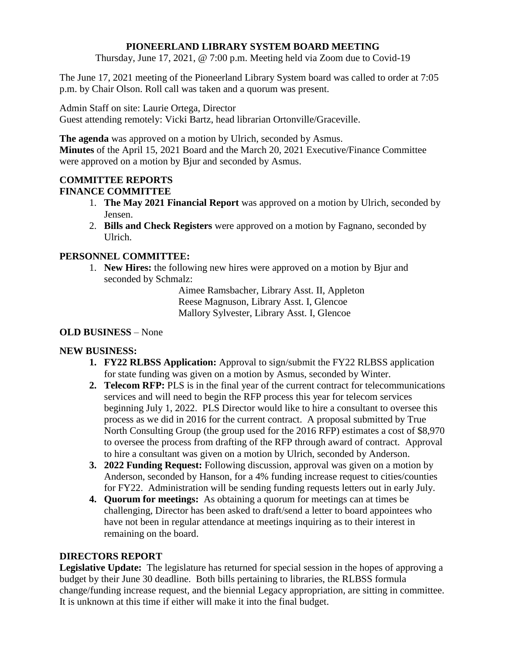### **PIONEERLAND LIBRARY SYSTEM BOARD MEETING**

Thursday, June 17, 2021, @ 7:00 p.m. Meeting held via Zoom due to Covid-19

The June 17, 2021 meeting of the Pioneerland Library System board was called to order at 7:05 p.m. by Chair Olson. Roll call was taken and a quorum was present.

Admin Staff on site: Laurie Ortega, Director

Guest attending remotely: Vicki Bartz, head librarian Ortonville/Graceville.

**The agenda** was approved on a motion by Ulrich, seconded by Asmus. **Minutes** of the April 15, 2021 Board and the March 20, 2021 Executive/Finance Committee were approved on a motion by Bjur and seconded by Asmus.

# **COMMITTEE REPORTS FINANCE COMMITTEE**

- 1. **The May 2021 Financial Report** was approved on a motion by Ulrich, seconded by Jensen.
- 2. **Bills and Check Registers** were approved on a motion by Fagnano, seconded by Ulrich.

## **PERSONNEL COMMITTEE:**

1. **New Hires:** the following new hires were approved on a motion by Bjur and seconded by Schmalz:

> Aimee Ramsbacher, Library Asst. II, Appleton Reese Magnuson, Library Asst. I, Glencoe Mallory Sylvester, Library Asst. I, Glencoe

## **OLD BUSINESS** – None

## **NEW BUSINESS:**

- **1. FY22 RLBSS Application:** Approval to sign/submit the FY22 RLBSS application for state funding was given on a motion by Asmus, seconded by Winter.
- **2. Telecom RFP:** PLS is in the final year of the current contract for telecommunications services and will need to begin the RFP process this year for telecom services beginning July 1, 2022. PLS Director would like to hire a consultant to oversee this process as we did in 2016 for the current contract. A proposal submitted by True North Consulting Group (the group used for the 2016 RFP) estimates a cost of \$8,970 to oversee the process from drafting of the RFP through award of contract. Approval to hire a consultant was given on a motion by Ulrich, seconded by Anderson.
- **3. 2022 Funding Request:** Following discussion, approval was given on a motion by Anderson, seconded by Hanson, for a 4% funding increase request to cities/counties for FY22. Administration will be sending funding requests letters out in early July.
- **4. Quorum for meetings:** As obtaining a quorum for meetings can at times be challenging, Director has been asked to draft/send a letter to board appointees who have not been in regular attendance at meetings inquiring as to their interest in remaining on the board.

## **DIRECTORS REPORT**

**Legislative Update:** The legislature has returned for special session in the hopes of approving a budget by their June 30 deadline. Both bills pertaining to libraries, the RLBSS formula change/funding increase request, and the biennial Legacy appropriation, are sitting in committee. It is unknown at this time if either will make it into the final budget.